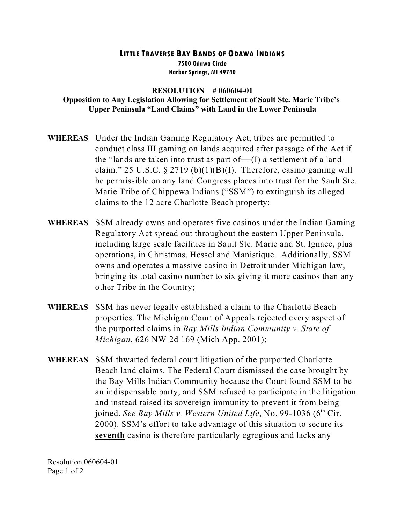## **LITTLE TRAVERSE BAY BANDS OF ODAWA INDIANS 7500 Odawa Circle Harbor Springs, MI 49740**

## **RESOLUTION # 060604-01 Opposition to Any Legislation Allowing for Settlement of Sault Ste. Marie Tribe's Upper Peninsula "Land Claims" with Land in the Lower Peninsula**

- **WHEREAS** Under the Indian Gaming Regulatory Act, tribes are permitted to conduct class III gaming on lands acquired after passage of the Act if the "lands are taken into trust as part of— $(I)$  a settlement of a land claim." 25 U.S.C.  $\S 2719 (b)(1)(B)(I)$ . Therefore, casino gaming will be permissible on any land Congress places into trust for the Sault Ste. Marie Tribe of Chippewa Indians ("SSM") to extinguish its alleged claims to the 12 acre Charlotte Beach property;
- **WHEREAS** SSM already owns and operates five casinos under the Indian Gaming Regulatory Act spread out throughout the eastern Upper Peninsula, including large scale facilities in Sault Ste. Marie and St. Ignace, plus operations, in Christmas, Hessel and Manistique. Additionally, SSM owns and operates a massive casino in Detroit under Michigan law, bringing its total casino number to six giving it more casinos than any other Tribe in the Country;
- **WHEREAS** SSM has never legally established a claim to the Charlotte Beach properties. The Michigan Court of Appeals rejected every aspect of the purported claims in *Bay Mills Indian Community v. State of Michigan*, 626 NW 2d 169 (Mich App. 2001);
- **WHEREAS** SSM thwarted federal court litigation of the purported Charlotte Beach land claims. The Federal Court dismissed the case brought by the Bay Mills Indian Community because the Court found SSM to be an indispensable party, and SSM refused to participate in the litigation and instead raised its sovereign immunity to prevent it from being joined. *See Bay Mills v. Western United Life*, No. 99-1036 ( $6<sup>th</sup> Cir$ .) 2000). SSM's effort to take advantage of this situation to secure its **seventh** casino is therefore particularly egregious and lacks any

Resolution 060604-01 Page 1 of 2